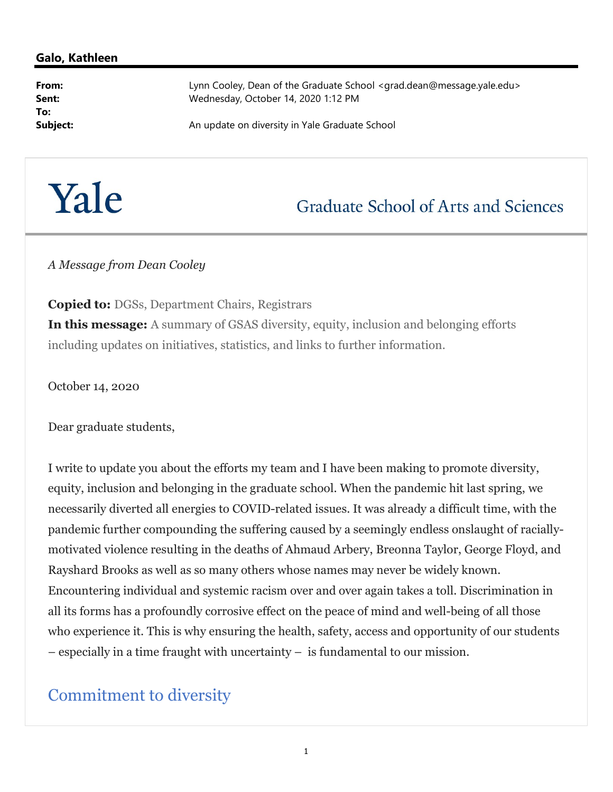#### Galo, Kathleen

To:

From: Example 2011 Lynn Cooley, Dean of the Graduate School <grad.dean@message.yale.edu> Sent: Wednesday, October 14, 2020 1:12 PM

**Subject:** An update on diversity in Yale Graduate School Subject:

# Yale

## **Graduate School of Arts and Sciences**

A Message from Dean Cooley

Copied to: DGSs, Department Chairs, Registrars In this message: A summary of GSAS diversity, equity, inclusion and belonging efforts including updates on initiatives, statistics, and links to further information.

October 14, 2020

Dear graduate students,

I write to update you about the efforts my team and I have been making to promote diversity, equity, inclusion and belonging in the graduate school. When the pandemic hit last spring, we necessarily diverted all energies to COVID-related issues. It was already a difficult time, with the pandemic further compounding the suffering caused by a seemingly endless onslaught of raciallymotivated violence resulting in the deaths of Ahmaud Arbery, Breonna Taylor, George Floyd, and Rayshard Brooks as well as so many others whose names may never be widely known. Encountering individual and systemic racism over and over again takes a toll. Discrimination in all its forms has a profoundly corrosive effect on the peace of mind and well-being of all those who experience it. This is why ensuring the health, safety, access and opportunity of our students – especially in a time fraught with uncertainty – is fundamental to our mission.

#### Commitment to diversity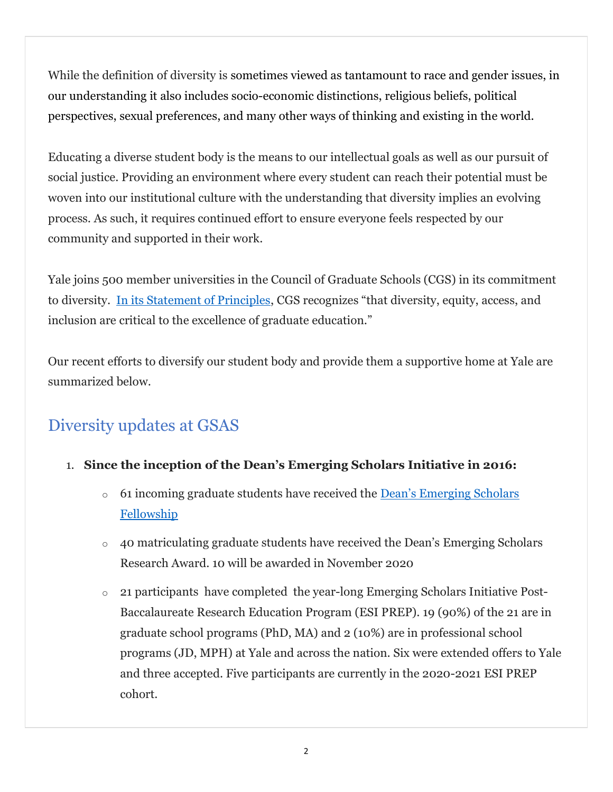While the definition of diversity is sometimes viewed as tantamount to race and gender issues, in our understanding it also includes socio-economic distinctions, religious beliefs, political perspectives, sexual preferences, and many other ways of thinking and existing in the world.

Educating a diverse student body is the means to our intellectual goals as well as our pursuit of social justice. Providing an environment where every student can reach their potential must be woven into our institutional culture with the understanding that diversity implies an evolving process. As such, it requires continued effort to ensure everyone feels respected by our community and supported in their work.

Yale joins 500 member universities in the Council of Graduate Schools (CGS) in its commitment to diversity. In its Statement of Principles, CGS recognizes "that diversity, equity, access, and inclusion are critical to the excellence of graduate education."

Our recent efforts to diversify our student body and provide them a supportive home at Yale are summarized below.

## Diversity updates at GSAS

- 1. Since the inception of the Dean's Emerging Scholars Initiative in 2016:
	- $\circ$  61 incoming graduate students have received the <u>Dean's Emerging Scholars</u> Fellowship
	- o 40 matriculating graduate students have received the Dean's Emerging Scholars Research Award. 10 will be awarded in November 2020
	- o 21 participants have completed the year-long Emerging Scholars Initiative Post-Baccalaureate Research Education Program (ESI PREP). 19 (90%) of the 21 are in graduate school programs (PhD, MA) and 2 (10%) are in professional school programs (JD, MPH) at Yale and across the nation. Six were extended offers to Yale and three accepted. Five participants are currently in the 2020-2021 ESI PREP cohort.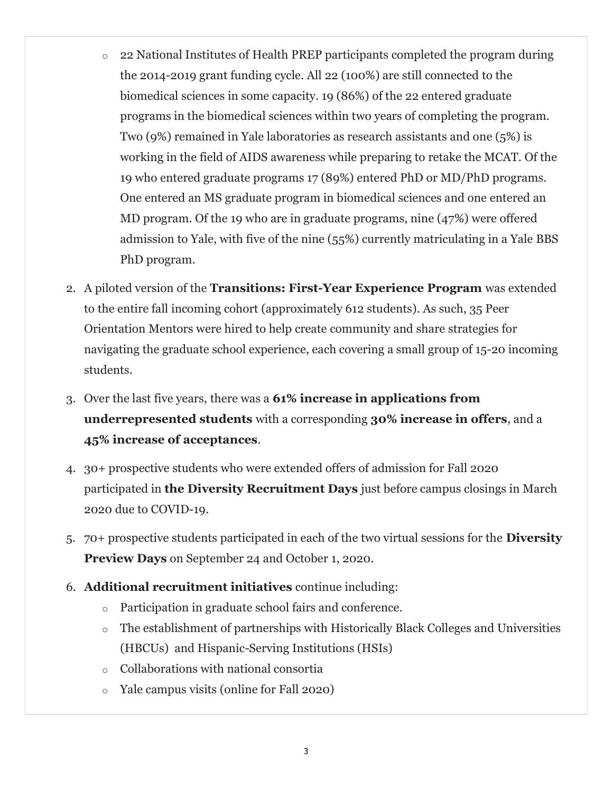- o 22 National Institutes of Health PREP participants completed the program during the 2014-2019 grant funding cycle. All 22 (100%) are still connected to the biomedical sciences in some capacity. 19 (86%) of the 22 entered graduate programs in the biomedical sciences within two years of completing the program. Two (9%) remained in Yale laboratories as research assistants and one (5%) is working in the field of AIDS awareness while preparing to retake the MCAT. Of the 19 who entered graduate programs 17 (89%) entered PhD or MD/PhD programs. One entered an MS graduate program in biomedical sciences and one entered an MD program. Of the 19 who are in graduate programs, nine (47%) were offered admission to Yale, with five of the nine (55%) currently matriculating in a Yale BBS PhD program.
- 2. A piloted version of the Transitions: First-Year Experience Program was extended to the entire fall incoming cohort (approximately 612 students). As such, 35 Peer Orientation Mentors were hired to help create community and share strategies for navigating the graduate school experience, each covering a small group of 15-20 incoming students.
- 3. Over the last five years, there was a 61% increase in applications from underrepresented students with a corresponding 30% increase in offers, and a 45% increase of acceptances.
- 4. 30+ prospective students who were extended offers of admission for Fall 2020 participated in the Diversity Recruitment Days just before campus closings in March 2020 due to COVID-19.
- 5. 70+ prospective students participated in each of the two virtual sessions for the **Diversity** Preview Days on September 24 and October 1, 2020.
- 6. Additional recruitment initiatives continue including:
	- o Participation in graduate school fairs and conference.
	- o The establishment of partnerships with Historically Black Colleges and Universities (HBCUs) and Hispanic-Serving Institutions (HSIs)
	- o Collaborations with national consortia
	- o Yale campus visits (online for Fall 2020)